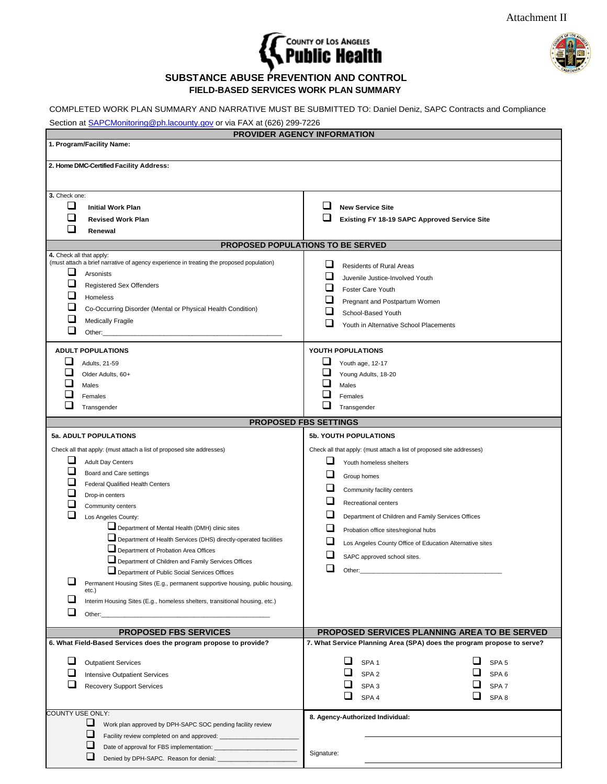

# **SUBSTANCE ABUSE PREVENTION AND CONTROL FIELD-BASED SERVICES WORK PLAN SUMMARY**

COMPLETED WORK PLAN SUMMARY AND NARRATIVE MUST BE SUBMITTED TO: Daniel Deniz, SAPC Contracts and Compliance

Section at **[SAPCMonitoring@ph.lacounty.gov](mailto:SAPCMonitoring@ph.lacounty.gov)** or via FAX at (626) 299-7226

|                                                                 | PROVIDER AGENCY INFORMATION                                                                |                          |                   |                                                                        |                  |  |
|-----------------------------------------------------------------|--------------------------------------------------------------------------------------------|--------------------------|-------------------|------------------------------------------------------------------------|------------------|--|
|                                                                 | 1. Program/Facility Name:                                                                  |                          |                   |                                                                        |                  |  |
|                                                                 |                                                                                            |                          |                   |                                                                        |                  |  |
|                                                                 | 2. Home DMC-Certified Facility Address:                                                    |                          |                   |                                                                        |                  |  |
|                                                                 |                                                                                            |                          |                   |                                                                        |                  |  |
| 3. Check one:                                                   |                                                                                            |                          |                   |                                                                        |                  |  |
| ப                                                               | <b>Initial Work Plan</b>                                                                   | ⊔                        |                   | <b>New Service Site</b>                                                |                  |  |
|                                                                 | <b>Revised Work Plan</b>                                                                   | ⊔                        |                   | Existing FY 18-19 SAPC Approved Service Site                           |                  |  |
| $\mathcal{L}_{\mathcal{A}}$                                     | Renewal                                                                                    |                          |                   |                                                                        |                  |  |
| PROPOSED POPULATIONS TO BE SERVED                               |                                                                                            |                          |                   |                                                                        |                  |  |
| 4. Check all that apply:                                        | (must attach a brief narrative of agency experience in treating the proposed population)   |                          |                   |                                                                        |                  |  |
| ⊔                                                               | Arsonists                                                                                  | $\Box$                   |                   | Residents of Rural Areas                                               |                  |  |
|                                                                 | Registered Sex Offenders                                                                   | □                        |                   | Juvenile Justice-Involved Youth                                        |                  |  |
|                                                                 | Homeless                                                                                   | u                        |                   | Foster Care Youth                                                      |                  |  |
|                                                                 | Co-Occurring Disorder (Mental or Physical Health Condition)                                | □                        |                   | Pregnant and Postpartum Women                                          |                  |  |
|                                                                 | Medically Fragile                                                                          | └                        |                   | School-Based Youth                                                     |                  |  |
|                                                                 | Other:                                                                                     | $\overline{\phantom{a}}$ |                   | Youth in Alternative School Placements                                 |                  |  |
|                                                                 |                                                                                            |                          |                   |                                                                        |                  |  |
|                                                                 | <b>ADULT POPULATIONS</b>                                                                   |                          | YOUTH POPULATIONS |                                                                        |                  |  |
| ❏                                                               | Adults, 21-59                                                                              | ⊔                        | Youth age, 12-17  |                                                                        |                  |  |
| ⊔                                                               | Older Adults, 60+                                                                          | ⊔                        |                   | Young Adults, 18-20                                                    |                  |  |
| $\overline{\phantom{a}}$                                        | Males                                                                                      | ⊔                        | Males             |                                                                        |                  |  |
| $\Box$<br>⊔                                                     | Females                                                                                    | ❏<br>❏                   | Females           |                                                                        |                  |  |
|                                                                 | Transgender                                                                                |                          | Transgender       |                                                                        |                  |  |
|                                                                 | <b>PROPOSED FBS SETTINGS</b>                                                               |                          |                   |                                                                        |                  |  |
|                                                                 | 5a. ADULT POPULATIONS                                                                      |                          |                   | <b>5b. YOUTH POPULATIONS</b>                                           |                  |  |
|                                                                 | Check all that apply: (must attach a list of proposed site addresses)                      |                          |                   | Check all that apply: (must attach a list of proposed site addresses)  |                  |  |
| ⊔                                                               | <b>Adult Day Centers</b>                                                                   |                          |                   | Youth homeless shelters                                                |                  |  |
| $\Box$                                                          | Board and Care settings                                                                    | $\Box$                   | Group homes       |                                                                        |                  |  |
| $\mathbf{L}$                                                    | <b>Federal Qualified Health Centers</b>                                                    | ⊔                        |                   | Community facility centers                                             |                  |  |
| $\sqcup$                                                        | Drop-in centers                                                                            | $\Box$                   |                   | Recreational centers                                                   |                  |  |
|                                                                 | Community centers                                                                          |                          |                   |                                                                        |                  |  |
| $\sqcup$                                                        | Los Angeles County:                                                                        | $\Box$                   |                   | Department of Children and Family Services Offices                     |                  |  |
|                                                                 | Department of Mental Health (DMH) clinic sites                                             | $\Box$                   |                   | Probation office sites/regional hubs                                   |                  |  |
|                                                                 | Department of Health Services (DHS) directly-operated facilities                           | ⊔                        |                   | Los Angeles County Office of Education Alternative sites               |                  |  |
|                                                                 | Department of Probation Area Offices<br>Department of Children and Family Services Offices | $\Box$                   |                   | SAPC approved school sites.                                            |                  |  |
|                                                                 | Department of Public Social Services Offices                                               | $\Box$                   | Other:            |                                                                        |                  |  |
| $\Box$                                                          | Permanent Housing Sites (E.g., permanent supportive housing, public housing,               |                          |                   |                                                                        |                  |  |
|                                                                 | etc.)                                                                                      |                          |                   |                                                                        |                  |  |
|                                                                 | Interim Housing Sites (E.g., homeless shelters, transitional housing, etc.)                |                          |                   |                                                                        |                  |  |
| ⊔                                                               | Other:                                                                                     |                          |                   |                                                                        |                  |  |
|                                                                 | <b>PROPOSED FBS SERVICES</b>                                                               |                          |                   | PROPOSED SERVICES PLANNING AREA TO BE SERVED                           |                  |  |
|                                                                 | 6. What Field-Based Services does the program propose to provide?                          |                          |                   | 7. What Service Planning Area (SPA) does the program propose to serve? |                  |  |
|                                                                 |                                                                                            |                          |                   |                                                                        |                  |  |
| □                                                               | <b>Outpatient Services</b>                                                                 |                          | ❏                 | ⊔<br>SPA <sub>1</sub>                                                  | SPA <sub>5</sub> |  |
|                                                                 | <b>Intensive Outpatient Services</b>                                                       |                          | ⊔                 | SPA <sub>2</sub>                                                       | SPA <sub>6</sub> |  |
| $\Box$                                                          | <b>Recovery Support Services</b>                                                           |                          | ⊔                 | SPA <sub>3</sub>                                                       | SPA <sub>7</sub> |  |
|                                                                 |                                                                                            |                          | ⊔                 | SPA 4                                                                  | SPA8             |  |
| <b>COUNTY USE ONLY:</b>                                         |                                                                                            |                          |                   |                                                                        |                  |  |
| ⊔<br>Work plan approved by DPH-SAPC SOC pending facility review |                                                                                            |                          |                   | 8. Agency-Authorized Individual:                                       |                  |  |
|                                                                 | ⊔<br>Facility review completed on and approved:                                            |                          |                   |                                                                        |                  |  |
|                                                                 | □<br>Date of approval for FBS implementation:                                              |                          |                   |                                                                        |                  |  |
|                                                                 | ❏<br>Denied by DPH-SAPC. Reason for denial:                                                | Signature:               |                   |                                                                        |                  |  |